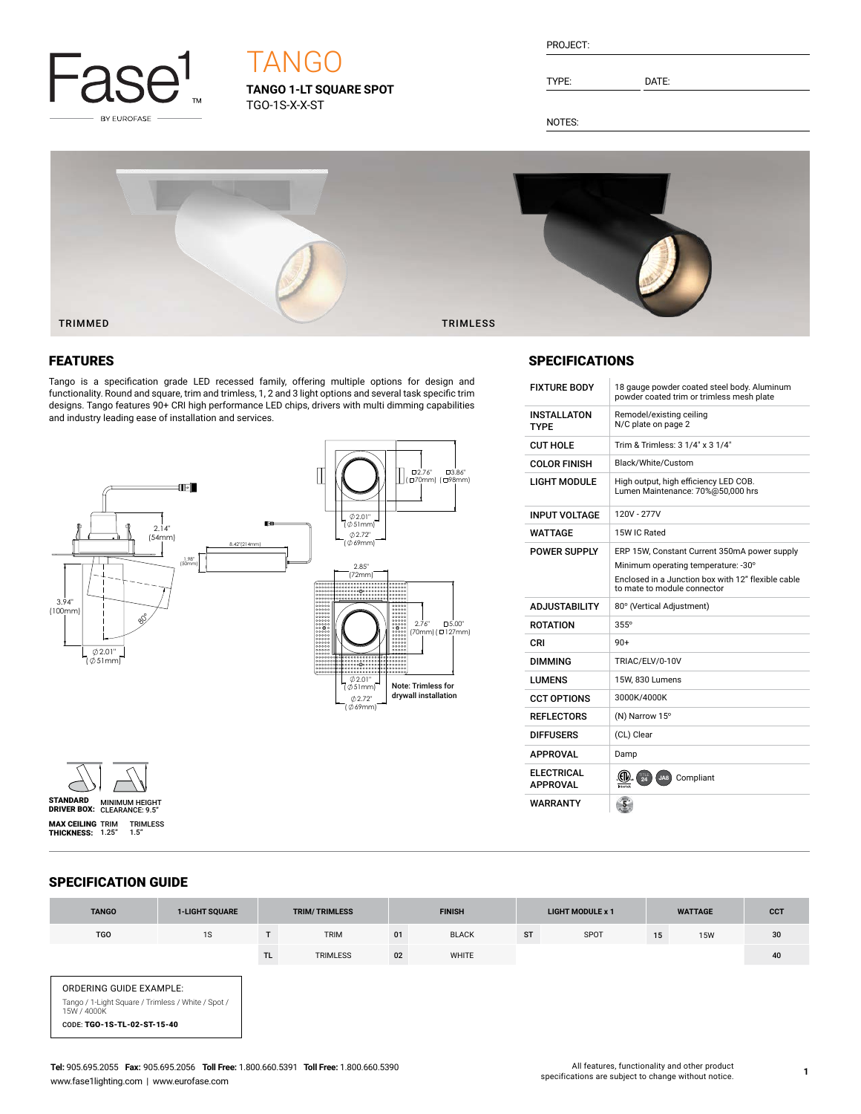

# TANGO

**TANGO 1-LT SQUARE SPOT** TGO-1S-X-X-ST

| PROJECT: |  |
|----------|--|
|          |  |

TYPE: DATE:

SPECIFICATIONS

INPUT VOLTAGE 120V - 277V

INSTALLATON TYPE

WARRANTY

NOTES:



## FEATURES

Tango is a specification grade LED recessed family, offering multiple options for design and functionality. Round and square, trim and trimless, 1, 2 and 3 light options and several task specific trim designs. Tango features 90+ CRI high performance LED chips, drivers with multi dimming capabilities and industry leading ease of installation and services.





## WATTAGE 15W IC Rated POWER SUPPLY ERP 15W, Constant Current 350mA power supply Minimum operating temperature: -30° Enclosed in a Junction box with 12" flexible cable to mate to module connector ADJUSTABILITY 80° (Vertical Adjustment) ROTATION 355° CRI 90+ DIMMING TRIAC/ELV/0-10V LUMENS 15W, 830 Lumens CCT OPTIONS 3000K/4000K REFLECTORS (N) Narrow 15° DIFFUSERS (CL) Clear APPROVAL Damp **ELECTRICAL**<br>APPROVAL **APPROVAL COMPLIANT** COMPliant

 $\overline{5}$ 

FIXTURE BODY 18 gauge powder coated steel body. Aluminum powder coated trim or trimless mesh plate

Remodel/existing ceiling N/C plate on page 2

 $CUT HOLE$  Trim & Trimless:  $3 \frac{1}{4}$ " x  $3 \frac{1}{4}$ " COLOR FINISH Black/White/Custom

LIGHT MODULE High output, high efficiency LED COB. Lumen Maintenance: 70%@50,000 hrs

SPECIFICATION GUIDE

| <b>TANGO</b>                                                                                                                | <b>1-LIGHT SQUARE</b> | <b>TRIM/TRIMLESS</b> |                 | <b>FINISH</b> |              | <b>LIGHT MODULE x 1</b> |      | <b>WATTAGE</b> |            | <b>CCT</b> |
|-----------------------------------------------------------------------------------------------------------------------------|-----------------------|----------------------|-----------------|---------------|--------------|-------------------------|------|----------------|------------|------------|
| <b>TGO</b>                                                                                                                  | 1S                    |                      | <b>TRIM</b>     | 01            | <b>BLACK</b> | <b>ST</b>               | SPOT | 15             | <b>15W</b> | 30         |
|                                                                                                                             |                       | <b>TL</b>            | <b>TRIMLESS</b> | 02            | WHITE        |                         |      |                |            | 40         |
| ORDERING GUIDE EXAMPLE:<br>Tango / 1-Light Square / Trimless / White / Spot /<br>15W / 4000K<br>CODE: TGO-1S-TL-02-ST-15-40 |                       |                      |                 |               |              |                         |      |                |            |            |